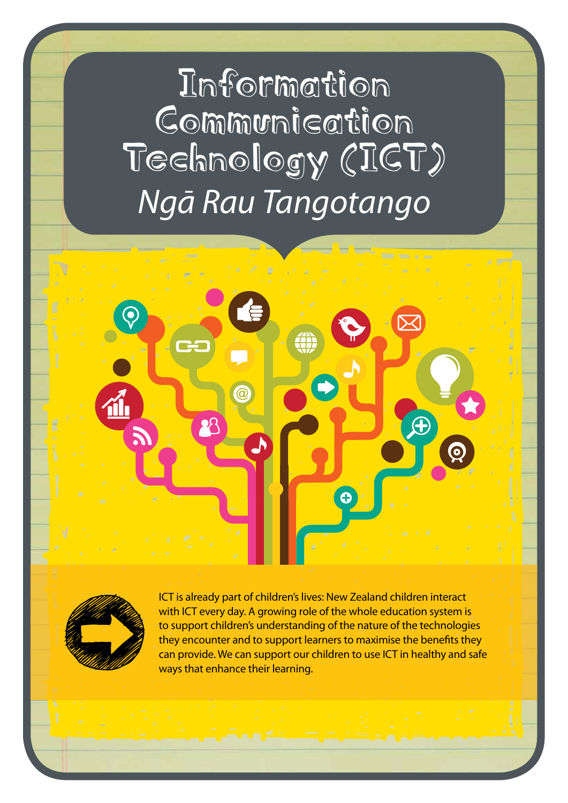Information Communication Technology (ICT) *Ngā Rau Tangotango*





ICT is already part of children's lives: New Zealand children interact with ICT every day. A growing role of the whole education system is to support children's understanding of the nature of the technologies they encounter and to support learners to maximise the benefits they can provide. We can support our children to use ICT in healthy and safe ways that enhance their learning.